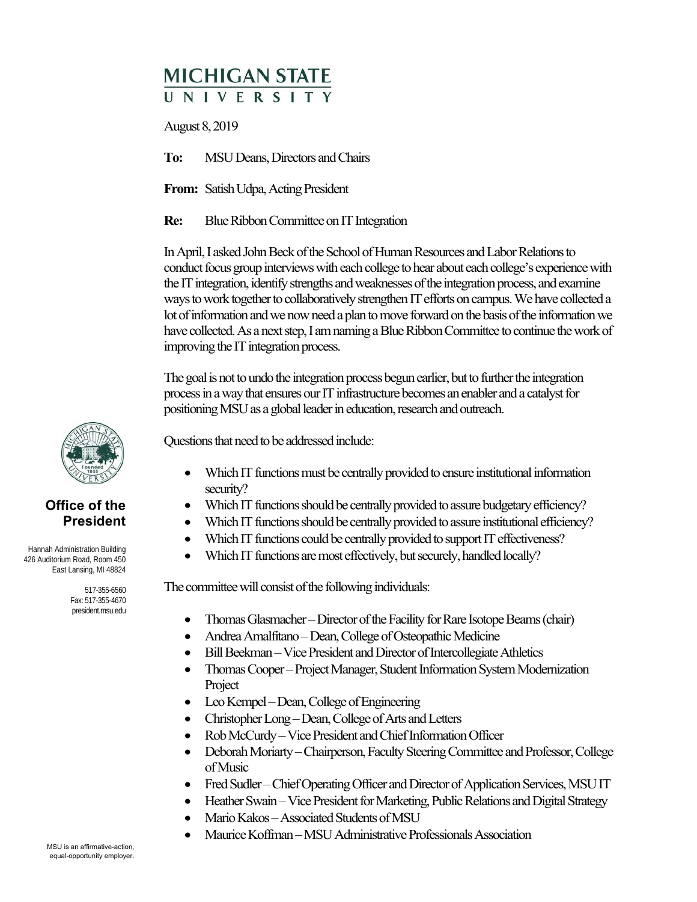## **MICHIGAN STATE II N I V F R S I T Y**

August 8, 2019

**To:** MSU Deans, Directors and Chairs

**From:** Satish Udpa, Acting President

**Re:** Blue Ribbon Committee on IT Integration

In April, I asked John Beck of the School of Human Resources and Labor Relations to conduct focus group interviews with each college to hear about each college's experience with the IT integration, identify strengths and weaknesses of the integration process, and examine ways to work together to collaboratively strengthen IT efforts on campus. We have collected a lot of information and we now need a plan to move forward on the basis of the information we have collected. As a next step, I am naming a Blue Ribbon Committee to continue the work of improving the IT integration process.

The goal is not to undo the integration process begun earlier, but to further the integration process in a way that ensures our IT infrastructure becomes an enabler and a catalyst for positioning MSU as a global leader in education, research and outreach.

Questions that need to be addressed include:

- Which IT functions must be centrally provided to ensure institutional information security?
- Which IT functions should be centrally provided to assure budgetary efficiency?
- Which IT functions should be centrally provided to assure institutional efficiency?
- Which IT functions could be centrally provided to support IT effectiveness?
- Which IT functions are most effectively, but securely, handled locally?

The committee will consist of the following individuals:

- Thomas Glasmacher Director of the Facility for Rare Isotope Beams (chair)
- Andrea Amalfitano Dean, College of Osteopathic Medicine
- Bill Beekman Vice President and Director of Intercollegiate Athletics
- Thomas Cooper Project Manager, Student Information System Modernization Project
- Leo Kempel Dean, College of Engineering
- Christopher Long Dean, College of Arts and Letters
- Rob McCurdy Vice President and Chief Information Officer
- Deborah Moriarty Chairperson, Faculty Steering Committee and Professor, College of Music
- Fred Sudler Chief Operating Officer and Director of Application Services, MSU IT
- Heather Swain Vice President for Marketing, Public Relations and Digital Strategy
- Mario Kakos Associated Students of MSU
- Maurice Koffman MSU Administrative Professionals Association



## **Office of the President**

 Hannah Administration Building 426 Auditorium Road, Room 450 East Lansing, MI 48824

> 517-355-6560 Fax: 517-355-4670 president.msu.edu